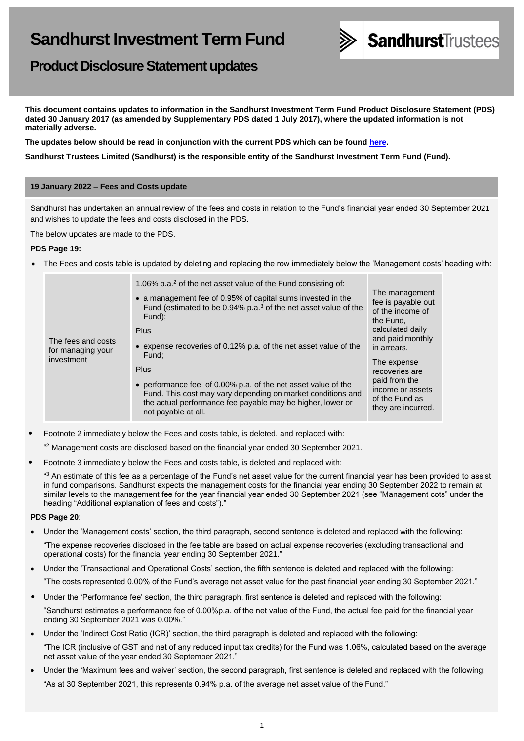

# **Product Disclosure Statement updates**

**This document contains updates to information in the Sandhurst Investment Term Fund Product Disclosure Statement (PDS) dated 30 January 2017 (as amended by Supplementary PDS dated 1 July 2017), where the updated information is not materially adverse.**

**The updates below should be read in conjunction with the current PDS which can be found [here.](https://www.bendigobank.com.au/managedfundsforms)**

**Sandhurst Trustees Limited (Sandhurst) is the responsible entity of the Sandhurst Investment Term Fund (Fund).**

# **19 January 2022 – Fees and Costs update**

Sandhurst has undertaken an annual review of the fees and costs in relation to the Fund's financial year ended 30 September 2021 and wishes to update the fees and costs disclosed in the PDS.

The below updates are made to the PDS.

# **PDS Page 19:**

• The Fees and costs table is updated by deleting and replacing the row immediately below the 'Management costs' heading with:

| The fees and costs<br>for managing your<br>investment | 1.06% p.a. <sup>2</sup> of the net asset value of the Fund consisting of:<br>• a management fee of 0.95% of capital sums invested in the<br>Fund (estimated to be 0.94% p.a. <sup>3</sup> of the net asset value of the<br>Fund);<br>Plus<br>• expense recoveries of 0.12% p.a. of the net asset value of the<br>Fund:<br>Plus<br>• performance fee, of 0.00% p.a. of the net asset value of the<br>Fund. This cost may vary depending on market conditions and<br>the actual performance fee payable may be higher, lower or<br>not payable at all. | The management<br>fee is payable out<br>of the income of<br>the Fund.<br>calculated daily<br>and paid monthly<br>in arrears.<br>The expense<br>recoveries are<br>paid from the<br>income or assets<br>of the Fund as<br>they are incurred. |
|-------------------------------------------------------|------------------------------------------------------------------------------------------------------------------------------------------------------------------------------------------------------------------------------------------------------------------------------------------------------------------------------------------------------------------------------------------------------------------------------------------------------------------------------------------------------------------------------------------------------|--------------------------------------------------------------------------------------------------------------------------------------------------------------------------------------------------------------------------------------------|
|-------------------------------------------------------|------------------------------------------------------------------------------------------------------------------------------------------------------------------------------------------------------------------------------------------------------------------------------------------------------------------------------------------------------------------------------------------------------------------------------------------------------------------------------------------------------------------------------------------------------|--------------------------------------------------------------------------------------------------------------------------------------------------------------------------------------------------------------------------------------------|

- Footnote 2 immediately below the Fees and costs table, is deleted. and replaced with: <sup>42</sup> Management costs are disclosed based on the financial year ended 30 September 2021.
- Footnote 3 immediately below the Fees and costs table, is deleted and replaced with:

heading "Additional explanation of fees and costs")."

 $43$  An estimate of this fee as a percentage of the Fund's net asset value for the current financial year has been provided to assist in fund comparisons. Sandhurst expects the management costs for the financial year ending 30 September 2022 to remain at similar levels to the management fee for the year financial year ended 30 September 2021 (see "Management cots" under the

# **PDS Page 20**:

• Under the 'Management costs' section, the third paragraph, second sentence is deleted and replaced with the following: "The expense recoveries disclosed in the fee table are based on actual expense recoveries (excluding transactional and

operational costs) for the financial year ending 30 September 2021."

- Under the 'Transactional and Operational Costs' section, the fifth sentence is deleted and replaced with the following:
- "The costs represented 0.00% of the Fund's average net asset value for the past financial year ending 30 September 2021."
- Under the 'Performance fee' section, the third paragraph, first sentence is deleted and replaced with the following:
- "Sandhurst estimates a performance fee of 0.00%p.a. of the net value of the Fund, the actual fee paid for the financial year ending 30 September 2021 was 0.00%."
- Under the 'Indirect Cost Ratio (ICR)' section, the third paragraph is deleted and replaced with the following: "The ICR (inclusive of GST and net of any reduced input tax credits) for the Fund was 1.06%, calculated based on the average net asset value of the year ended 30 September 2021."
- Under the 'Maximum fees and waiver' section, the second paragraph, first sentence is deleted and replaced with the following: "As at 30 September 2021, this represents 0.94% p.a. of the average net asset value of the Fund."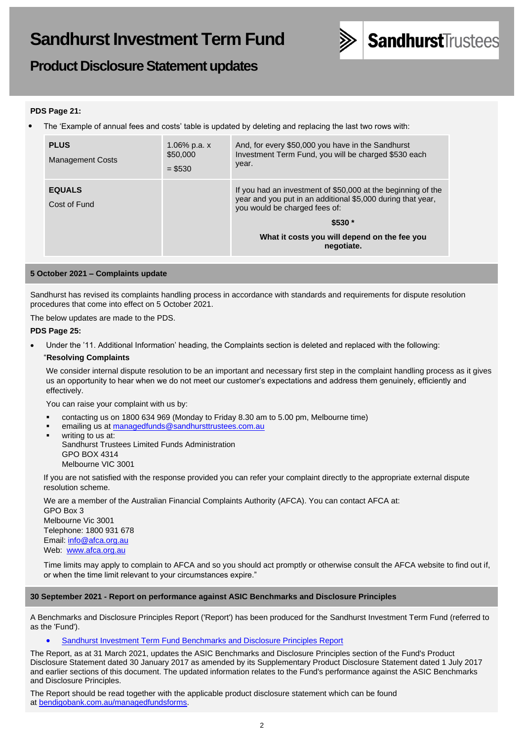

**Product Disclosure Statement updates**

# **PDS Page 21:**

• The 'Example of annual fees and costs' table is updated by deleting and replacing the last two rows with:

| <b>PLUS</b><br><b>Management Costs</b> | 1.06% p.a. $x$<br>\$50,000<br>$= $530$ | And, for every \$50,000 you have in the Sandhurst<br>Investment Term Fund, you will be charged \$530 each<br>year.                                           |
|----------------------------------------|----------------------------------------|--------------------------------------------------------------------------------------------------------------------------------------------------------------|
| <b>EQUALS</b><br>Cost of Fund          |                                        | If you had an investment of \$50,000 at the beginning of the<br>year and you put in an additional \$5,000 during that year,<br>you would be charged fees of: |
|                                        |                                        | $$530*$                                                                                                                                                      |
|                                        |                                        | What it costs you will depend on the fee you<br>negotiate.                                                                                                   |

### **5 October 2021 – Complaints update**

Sandhurst has revised its complaints handling process in accordance with standards and requirements for dispute resolution procedures that come into effect on 5 October 2021.

The below updates are made to the PDS.

### **PDS Page 25:**

• Under the '11. Additional Information' heading, the Complaints section is deleted and replaced with the following:

### "**Resolving Complaints**

We consider internal dispute resolution to be an important and necessary first step in the complaint handling process as it gives us an opportunity to hear when we do not meet our customer's expectations and address them genuinely, efficiently and effectively.

You can raise your complaint with us by:

- contacting us on 1800 634 969 (Monday to Friday 8.30 am to 5.00 pm, Melbourne time)
- emailing us at [managedfunds@sandhursttrustees.com.au](mailto:managedfunds@sandhursttrustees.com.au)
- writing to us at: Sandhurst Trustees Limited Funds Administration GPO BOX 4314 Melbourne VIC 3001

If you are not satisfied with the response provided you can refer your complaint directly to the appropriate external dispute resolution scheme.

We are a member of the Australian Financial Complaints Authority (AFCA). You can contact AFCA at: GPO Box 3 Melbourne Vic 3001 Telephone: 1800 931 678 Email: [info@afca.org.au](mailto:info@afca.org.au) Web: [www.afca.org.au](https://www.afca.org.au/)

Time limits may apply to complain to AFCA and so you should act promptly or otherwise consult the AFCA website to find out if, or when the time limit relevant to your circumstances expire."

#### **30 September 2021 - Report on performance against ASIC Benchmarks and Disclosure Principles**

A Benchmarks and Disclosure Principles Report ('Report') has been produced for the Sandhurst Investment Term Fund (referred to as the 'Fund').

**[Sandhurst Investment Term Fund Benchmarks and Disclosure Principles Report](https://www.bendigobank.com.au/globalassets/documents/sandhursttrustees/fundupdates/sandhurst-investment-term-fund-benchmark-report---31-March-2021.pdf)** 

The Report, as at 31 March 2021, updates the ASIC Benchmarks and Disclosure Principles section of the Fund's Product Disclosure Statement dated 30 January 2017 as amended by its Supplementary Product Disclosure Statement dated 1 July 2017 and earlier sections of this document. The updated information relates to the Fund's performance against the ASIC Benchmarks and Disclosure Principles.

The Report should be read together with the applicable product disclosure statement which can be found at [bendigobank.com.au/managedfundsforms.](https://www.bendigobank.com.au/managedfundsforms)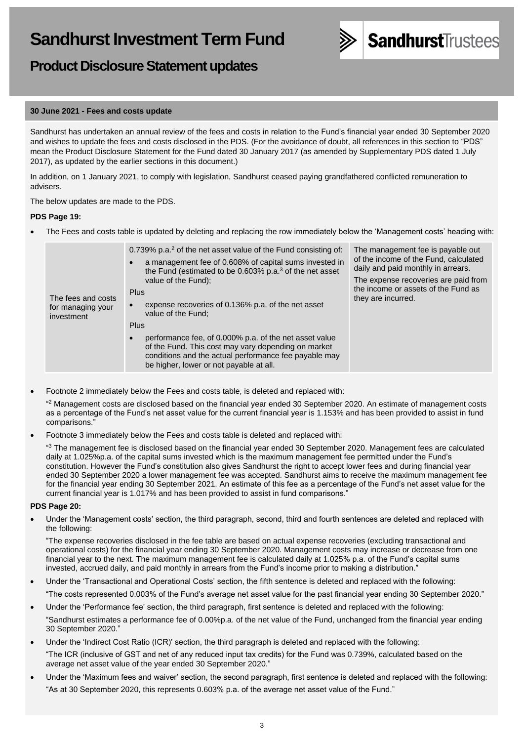# **Product Disclosure Statement updates**

# **30 June 2021 - Fees and costs update**

Sandhurst has undertaken an annual review of the fees and costs in relation to the Fund's financial year ended 30 September 2020 and wishes to update the fees and costs disclosed in the PDS. (For the avoidance of doubt, all references in this section to "PDS" mean the Product Disclosure Statement for the Fund dated 30 January 2017 (as amended by Supplementary PDS dated 1 July 2017), as updated by the earlier sections in this document.)

**SandhurstTrustees** 

In addition, on 1 January 2021, to comply with legislation, Sandhurst ceased paying grandfathered conflicted remuneration to advisers.

The below updates are made to the PDS.

# **PDS Page 19:**

• The Fees and costs table is updated by deleting and replacing the row immediately below the 'Management costs' heading with:

| The fees and costs<br>for managing your<br>investment | 0.739% p.a. <sup>2</sup> of the net asset value of the Fund consisting of:<br>a management fee of 0.608% of capital sums invested in<br>the Fund (estimated to be $0.603\%$ p.a. <sup>3</sup> of the net asset<br>value of the Fund);<br>Plus<br>expense recoveries of 0.136% p.a. of the net asset<br>value of the Fund:<br><b>Plus</b><br>performance fee, of 0.000% p.a. of the net asset value<br>$\bullet$<br>of the Fund. This cost may vary depending on market<br>conditions and the actual performance fee payable may<br>be higher, lower or not payable at all. | The management fee is payable out<br>of the income of the Fund, calculated<br>daily and paid monthly in arrears.<br>The expense recoveries are paid from<br>the income or assets of the Fund as<br>they are incurred. |
|-------------------------------------------------------|----------------------------------------------------------------------------------------------------------------------------------------------------------------------------------------------------------------------------------------------------------------------------------------------------------------------------------------------------------------------------------------------------------------------------------------------------------------------------------------------------------------------------------------------------------------------------|-----------------------------------------------------------------------------------------------------------------------------------------------------------------------------------------------------------------------|
|-------------------------------------------------------|----------------------------------------------------------------------------------------------------------------------------------------------------------------------------------------------------------------------------------------------------------------------------------------------------------------------------------------------------------------------------------------------------------------------------------------------------------------------------------------------------------------------------------------------------------------------------|-----------------------------------------------------------------------------------------------------------------------------------------------------------------------------------------------------------------------|

• Footnote 2 immediately below the Fees and costs table, is deleted and replaced with:

" <sup>2</sup> Management costs are disclosed based on the financial year ended 30 September 2020. An estimate of management costs as a percentage of the Fund's net asset value for the current financial year is 1.153% and has been provided to assist in fund comparisons."

• Footnote 3 immediately below the Fees and costs table is deleted and replaced with:

<sup>43</sup> The management fee is disclosed based on the financial year ended 30 September 2020. Management fees are calculated daily at 1.025%p.a. of the capital sums invested which is the maximum management fee permitted under the Fund's constitution. However the Fund's constitution also gives Sandhurst the right to accept lower fees and during financial year ended 30 September 2020 a lower management fee was accepted. Sandhurst aims to receive the maximum management fee for the financial year ending 30 September 2021. An estimate of this fee as a percentage of the Fund's net asset value for the current financial year is 1.017% and has been provided to assist in fund comparisons."

#### **PDS Page 20:**

• Under the 'Management costs' section, the third paragraph, second, third and fourth sentences are deleted and replaced with the following:

"The expense recoveries disclosed in the fee table are based on actual expense recoveries (excluding transactional and operational costs) for the financial year ending 30 September 2020. Management costs may increase or decrease from one financial year to the next. The maximum management fee is calculated daily at 1.025% p.a. of the Fund's capital sums invested, accrued daily, and paid monthly in arrears from the Fund's income prior to making a distribution."

• Under the 'Transactional and Operational Costs' section, the fifth sentence is deleted and replaced with the following:

"The costs represented 0.003% of the Fund's average net asset value for the past financial year ending 30 September 2020."

• Under the 'Performance fee' section, the third paragraph, first sentence is deleted and replaced with the following:

"Sandhurst estimates a performance fee of 0.00%p.a. of the net value of the Fund, unchanged from the financial year ending 30 September 2020."

- Under the 'Indirect Cost Ratio (ICR)' section, the third paragraph is deleted and replaced with the following: "The ICR (inclusive of GST and net of any reduced input tax credits) for the Fund was 0.739%, calculated based on the average net asset value of the year ended 30 September 2020."
- Under the 'Maximum fees and waiver' section, the second paragraph, first sentence is deleted and replaced with the following: "As at 30 September 2020, this represents 0.603% p.a. of the average net asset value of the Fund."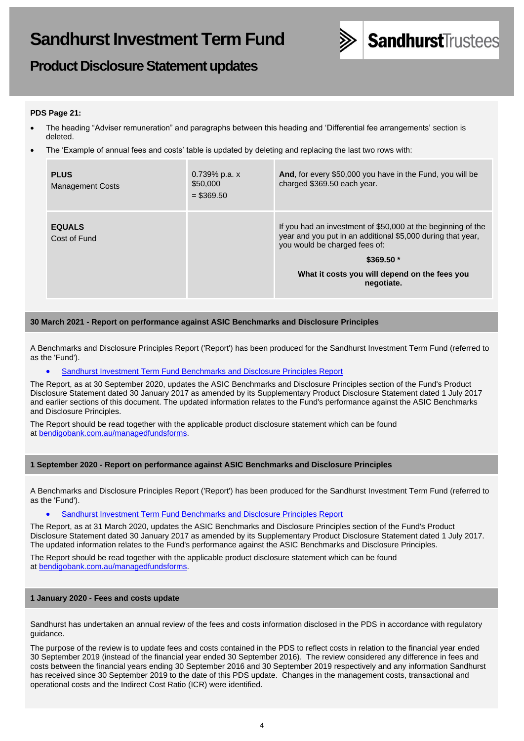

# **Product Disclosure Statement updates**

# **PDS Page 21:**

- The heading "Adviser remuneration" and paragraphs between this heading and 'Differential fee arrangements' section is deleted.
- The 'Example of annual fees and costs' table is updated by deleting and replacing the last two rows with:

| <b>PLUS</b><br>Management Costs | $0.739\%$ p.a. x<br>\$50,000<br>$=$ \$369.50 | And, for every \$50,000 you have in the Fund, you will be<br>charged \$369.50 each year.                                                                     |
|---------------------------------|----------------------------------------------|--------------------------------------------------------------------------------------------------------------------------------------------------------------|
| <b>EQUALS</b><br>Cost of Fund   |                                              | If you had an investment of \$50,000 at the beginning of the<br>year and you put in an additional \$5,000 during that year,<br>you would be charged fees of: |
|                                 |                                              | $$369.50*$                                                                                                                                                   |
|                                 |                                              | What it costs you will depend on the fees you<br>negotiate.                                                                                                  |

### **30 March 2021 - Report on performance against ASIC Benchmarks and Disclosure Principles**

A Benchmarks and Disclosure Principles Report ('Report') has been produced for the Sandhurst Investment Term Fund (referred to as the 'Fund').

• [Sandhurst Investment Term Fund Benchmarks and Disclosure Principles Report](https://www.bendigobank.com.au/globalassets/documents/sandhursttrustees/fundupdates/sandhurst-investment-term-fund-benchmark-report---30-september-2020.pdf)

The Report, as at 30 September 2020, updates the ASIC Benchmarks and Disclosure Principles section of the Fund's Product Disclosure Statement dated 30 January 2017 as amended by its Supplementary Product Disclosure Statement dated 1 July 2017 and earlier sections of this document. The updated information relates to the Fund's performance against the ASIC Benchmarks and Disclosure Principles.

The Report should be read together with the applicable product disclosure statement which can be found at [bendigobank.com.au/managedfundsforms.](https://www.bendigobank.com.au/managedfundsforms)

#### **1 September 2020 - Report on performance against ASIC Benchmarks and Disclosure Principles**

A Benchmarks and Disclosure Principles Report ('Report') has been produced for the Sandhurst Investment Term Fund (referred to as the 'Fund').

• [Sandhurst Investment Term Fund Benchmarks and Disclosure Principles Report](https://www.bendigobank.com.au/globalassets/documents/sandhursttrustees/fundupdates/sandhurst-investment-term-fund-benchmark-reporting.pdf)

The Report, as at 31 March 2020, updates the ASIC Benchmarks and Disclosure Principles section of the Fund's Product Disclosure Statement dated 30 January 2017 as amended by its Supplementary Product Disclosure Statement dated 1 July 2017. The updated information relates to the Fund's performance against the ASIC Benchmarks and Disclosure Principles.

The Report should be read together with the applicable product disclosure statement which can be found at [bendigobank.com.au/managedfundsforms.](https://www.bendigobank.com.au/personal/investing/managed-funds/forms/)

#### **1 January 2020 - Fees and costs update**

Sandhurst has undertaken an annual review of the fees and costs information disclosed in the PDS in accordance with regulatory guidance.

The purpose of the review is to update fees and costs contained in the PDS to reflect costs in relation to the financial year ended 30 September 2019 (instead of the financial year ended 30 September 2016). The review considered any difference in fees and costs between the financial years ending 30 September 2016 and 30 September 2019 respectively and any information Sandhurst has received since 30 September 2019 to the date of this PDS update. Changes in the management costs, transactional and operational costs and the Indirect Cost Ratio (ICR) were identified.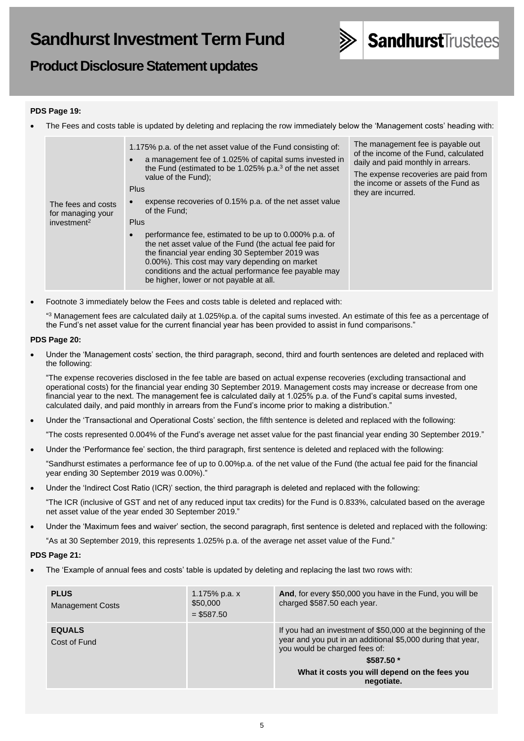

# **Product Disclosure Statement updates**

# **PDS Page 19:**

• The Fees and costs table is updated by deleting and replacing the row immediately below the 'Management costs' heading with:

| The fees and costs<br>for managing your<br>investment <sup>2</sup> | 1.175% p.a. of the net asset value of the Fund consisting of:<br>a management fee of 1.025% of capital sums invested in<br>the Fund (estimated to be 1.025% p.a. <sup>3</sup> of the net asset<br>value of the Fund);<br><b>Plus</b><br>expense recoveries of 0.15% p.a. of the net asset value<br>of the Fund:<br>Plus    | The management fee is payable out<br>of the income of the Fund, calculated<br>daily and paid monthly in arrears.<br>The expense recoveries are paid from<br>the income or assets of the Fund as<br>they are incurred. |
|--------------------------------------------------------------------|----------------------------------------------------------------------------------------------------------------------------------------------------------------------------------------------------------------------------------------------------------------------------------------------------------------------------|-----------------------------------------------------------------------------------------------------------------------------------------------------------------------------------------------------------------------|
|                                                                    | performance fee, estimated to be up to 0.000% p.a. of<br>the net asset value of the Fund (the actual fee paid for<br>the financial year ending 30 September 2019 was<br>0.00%). This cost may vary depending on market<br>conditions and the actual performance fee payable may<br>be higher, lower or not payable at all. |                                                                                                                                                                                                                       |

• Footnote 3 immediately below the Fees and costs table is deleted and replaced with:

<sup>43</sup> Management fees are calculated daily at 1.025%p.a. of the capital sums invested. An estimate of this fee as a percentage of the Fund's net asset value for the current financial year has been provided to assist in fund comparisons."

# **PDS Page 20:**

• Under the 'Management costs' section, the third paragraph, second, third and fourth sentences are deleted and replaced with the following:

"The expense recoveries disclosed in the fee table are based on actual expense recoveries (excluding transactional and operational costs) for the financial year ending 30 September 2019. Management costs may increase or decrease from one financial year to the next. The management fee is calculated daily at 1.025% p.a. of the Fund's capital sums invested, calculated daily, and paid monthly in arrears from the Fund's income prior to making a distribution."

• Under the 'Transactional and Operational Costs' section, the fifth sentence is deleted and replaced with the following:

"The costs represented 0.004% of the Fund's average net asset value for the past financial year ending 30 September 2019."

- Under the 'Performance fee' section, the third paragraph, first sentence is deleted and replaced with the following:
	- "Sandhurst estimates a performance fee of up to 0.00%p.a. of the net value of the Fund (the actual fee paid for the financial year ending 30 September 2019 was 0.00%)."
- Under the 'Indirect Cost Ratio (ICR)' section, the third paragraph is deleted and replaced with the following:

"The ICR (inclusive of GST and net of any reduced input tax credits) for the Fund is 0.833%, calculated based on the average net asset value of the year ended 30 September 2019."

• Under the 'Maximum fees and waiver' section, the second paragraph, first sentence is deleted and replaced with the following: "As at 30 September 2019, this represents 1.025% p.a. of the average net asset value of the Fund."

# **PDS Page 21:**

• The 'Example of annual fees and costs' table is updated by deleting and replacing the last two rows with:

| <b>PLUS</b><br><b>Management Costs</b> | 1.175% p.a. x<br>\$50,000<br>$=$ \$587.50 | And, for every \$50,000 you have in the Fund, you will be<br>charged \$587.50 each year.                                                                                                                                                  |
|----------------------------------------|-------------------------------------------|-------------------------------------------------------------------------------------------------------------------------------------------------------------------------------------------------------------------------------------------|
| <b>EQUALS</b><br>Cost of Fund          |                                           | If you had an investment of \$50,000 at the beginning of the<br>year and you put in an additional \$5,000 during that year,<br>you would be charged fees of:<br>$$587.50*$<br>What it costs you will depend on the fees you<br>negotiate. |